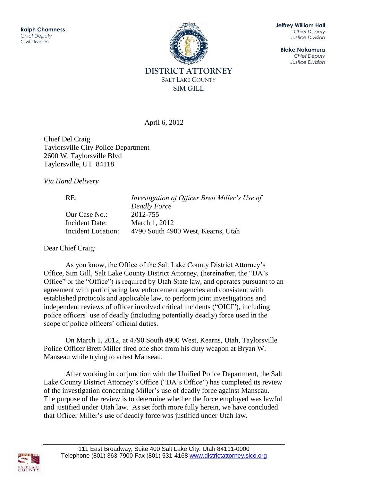

**Jeffrey William Hall** *Chief Deputy Justice Division*

**Blake Nakamura** *Chief Deputy Justice Division*

April 6, 2012

Chief Del Craig Taylorsville City Police Department 2600 W. Taylorsville Blvd Taylorsville, UT 84118

*Via Hand Delivery*

RE: *Investigation of Officer Brett Miller's Use of Deadly Force* Our Case No.: 2012-755 Incident Date: March 1, 2012 Incident Location: 4790 South 4900 West, Kearns, Utah

Dear Chief Craig:

As you know, the Office of the Salt Lake County District Attorney's Office, Sim Gill, Salt Lake County District Attorney, (hereinafter, the "DA's Office" or the "Office") is required by Utah State law, and operates pursuant to an agreement with participating law enforcement agencies and consistent with established protocols and applicable law, to perform joint investigations and independent reviews of officer involved critical incidents ("OICI"), including police officers' use of deadly (including potentially deadly) force used in the scope of police officers' official duties.

On March 1, 2012, at 4790 South 4900 West, Kearns, Utah, Taylorsville Police Officer Brett Miller fired one shot from his duty weapon at Bryan W. Manseau while trying to arrest Manseau.

After working in conjunction with the Unified Police Department, the Salt Lake County District Attorney's Office ("DA's Office") has completed its review of the investigation concerning Miller's use of deadly force against Manseau. The purpose of the review is to determine whether the force employed was lawful and justified under Utah law. As set forth more fully herein, we have concluded that Officer Miller's use of deadly force was justified under Utah law.

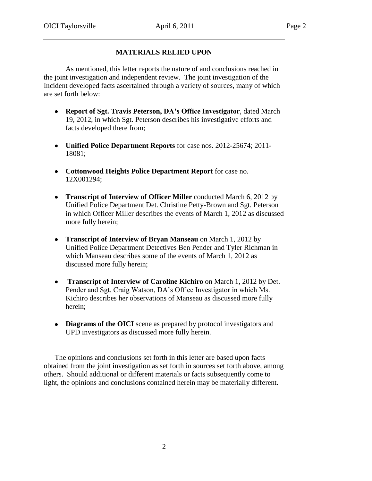# **MATERIALS RELIED UPON**

As mentioned, this letter reports the nature of and conclusions reached in the joint investigation and independent review. The joint investigation of the Incident developed facts ascertained through a variety of sources, many of which are set forth below:

- **Report of Sgt. Travis Peterson, DA's Office Investigator**, dated March 19, 2012, in which Sgt. Peterson describes his investigative efforts and facts developed there from;
- **Unified Police Department Reports** for case nos. 2012-25674; 2011- 18081;
- **Cottonwood Heights Police Department Report** for case no. 12X001294;
- **Transcript of Interview of Officer Miller** conducted March 6, 2012 by Unified Police Department Det. Christine Petty-Brown and Sgt. Peterson in which Officer Miller describes the events of March 1, 2012 as discussed more fully herein;
- **Transcript of Interview of Bryan Manseau** on March 1, 2012 by Unified Police Department Detectives Ben Pender and Tyler Richman in which Manseau describes some of the events of March 1, 2012 as discussed more fully herein;
- **Transcript of Interview of Caroline Kichiro** on March 1, 2012 by Det. Pender and Sgt. Craig Watson, DA's Office Investigator in which Ms. Kichiro describes her observations of Manseau as discussed more fully herein;
- **Diagrams of the OICI** scene as prepared by protocol investigators and UPD investigators as discussed more fully herein.

The opinions and conclusions set forth in this letter are based upon facts obtained from the joint investigation as set forth in sources set forth above, among others. Should additional or different materials or facts subsequently come to light, the opinions and conclusions contained herein may be materially different.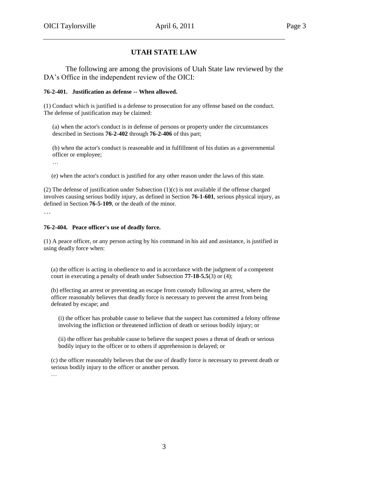# **UTAH STATE LAW**

The following are among the provisions of Utah State law reviewed by the DA's Office in the independent review of the OICI:

#### **76-2-401. Justification as defense -- When allowed.**

(1) Conduct which is justified is a defense to prosecution for any offense based on the conduct. The defense of justification may be claimed:

(a) when the actor's conduct is in defense of persons or property under the circumstances described in Sections **76-2-402** through **76-2-406** of this part;

(b) when the actor's conduct is reasonable and in fulfillment of his duties as a governmental officer or employee;

…

(e) when the actor's conduct is justified for any other reason under the laws of this state.

(2) The defense of justification under Subsection (1)(c) is not available if the offense charged involves causing serious bodily injury, as defined in Section **76-1-601**, serious physical injury, as defined in Section **76-5-109**, or the death of the minor.

…

#### **76-2-404. Peace officer's use of deadly force.**

(1) A peace officer, or any person acting by his command in his aid and assistance, is justified in using deadly force when:

(a) the officer is acting in obedience to and in accordance with the judgment of a competent court in executing a penalty of death under Subsection **77-18-5.5**(3) or (4);

(b) effecting an arrest or preventing an escape from custody following an arrest, where the officer reasonably believes that deadly force is necessary to prevent the arrest from being defeated by escape; and

(i) the officer has probable cause to believe that the suspect has committed a felony offense involving the infliction or threatened infliction of death or serious bodily injury; or

(ii) the officer has probable cause to believe the suspect poses a threat of death or serious bodily injury to the officer or to others if apprehension is delayed; or

(c) the officer reasonably believes that the use of deadly force is necessary to prevent death or serious bodily injury to the officer or another person.

…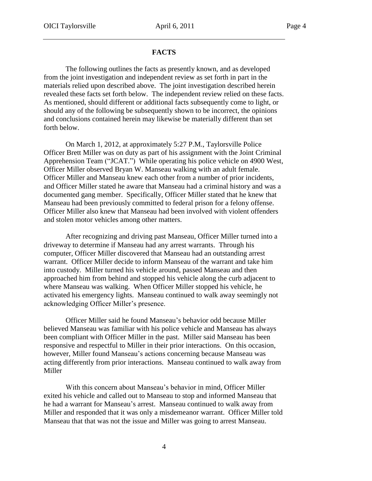### **FACTS**

The following outlines the facts as presently known, and as developed from the joint investigation and independent review as set forth in part in the materials relied upon described above. The joint investigation described herein revealed these facts set forth below. The independent review relied on these facts. As mentioned, should different or additional facts subsequently come to light, or should any of the following be subsequently shown to be incorrect, the opinions and conclusions contained herein may likewise be materially different than set forth below.

On March 1, 2012, at approximately 5:27 P.M., Taylorsville Police Officer Brett Miller was on duty as part of his assignment with the Joint Criminal Apprehension Team ("JCAT.") While operating his police vehicle on 4900 West, Officer Miller observed Bryan W. Manseau walking with an adult female. Officer Miller and Manseau knew each other from a number of prior incidents, and Officer Miller stated he aware that Manseau had a criminal history and was a documented gang member. Specifically, Officer Miller stated that he knew that Manseau had been previously committed to federal prison for a felony offense. Officer Miller also knew that Manseau had been involved with violent offenders and stolen motor vehicles among other matters.

After recognizing and driving past Manseau, Officer Miller turned into a driveway to determine if Manseau had any arrest warrants. Through his computer, Officer Miller discovered that Manseau had an outstanding arrest warrant. Officer Miller decide to inform Manseau of the warrant and take him into custody. Miller turned his vehicle around, passed Manseau and then approached him from behind and stopped his vehicle along the curb adjacent to where Manseau was walking. When Officer Miller stopped his vehicle, he activated his emergency lights. Manseau continued to walk away seemingly not acknowledging Officer Miller's presence.

Officer Miller said he found Manseau's behavior odd because Miller believed Manseau was familiar with his police vehicle and Manseau has always been compliant with Officer Miller in the past. Miller said Manseau has been responsive and respectful to Miller in their prior interactions. On this occasion, however, Miller found Manseau's actions concerning because Manseau was acting differently from prior interactions. Manseau continued to walk away from Miller

With this concern about Manseau's behavior in mind, Officer Miller exited his vehicle and called out to Manseau to stop and informed Manseau that he had a warrant for Manseau's arrest. Manseau continued to walk away from Miller and responded that it was only a misdemeanor warrant. Officer Miller told Manseau that that was not the issue and Miller was going to arrest Manseau.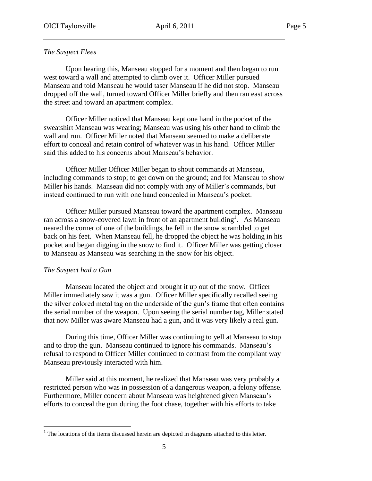# *The Suspect Flees*

Upon hearing this, Manseau stopped for a moment and then began to run west toward a wall and attempted to climb over it. Officer Miller pursued Manseau and told Manseau he would taser Manseau if he did not stop. Manseau dropped off the wall, turned toward Officer Miller briefly and then ran east across the street and toward an apartment complex.

Officer Miller noticed that Manseau kept one hand in the pocket of the sweatshirt Manseau was wearing; Manseau was using his other hand to climb the wall and run. Officer Miller noted that Manseau seemed to make a deliberate effort to conceal and retain control of whatever was in his hand. Officer Miller said this added to his concerns about Manseau's behavior.

Officer Miller Officer Miller began to shout commands at Manseau, including commands to stop; to get down on the ground; and for Manseau to show Miller his hands. Manseau did not comply with any of Miller's commands, but instead continued to run with one hand concealed in Manseau's pocket.

Officer Miller pursued Manseau toward the apartment complex. Manseau ran across a snow-covered lawn in front of an apartment building<sup>1</sup>. As Manseau neared the corner of one of the buildings, he fell in the snow scrambled to get back on his feet. When Manseau fell, he dropped the object he was holding in his pocket and began digging in the snow to find it. Officer Miller was getting closer to Manseau as Manseau was searching in the snow for his object.

# *The Suspect had a Gun*

 $\overline{a}$ 

Manseau located the object and brought it up out of the snow. Officer Miller immediately saw it was a gun. Officer Miller specifically recalled seeing the silver colored metal tag on the underside of the gun's frame that often contains the serial number of the weapon. Upon seeing the serial number tag, Miller stated that now Miller was aware Manseau had a gun, and it was very likely a real gun.

During this time, Officer Miller was continuing to yell at Manseau to stop and to drop the gun. Manseau continued to ignore his commands. Manseau's refusal to respond to Officer Miller continued to contrast from the compliant way Manseau previously interacted with him.

Miller said at this moment, he realized that Manseau was very probably a restricted person who was in possession of a dangerous weapon, a felony offense. Furthermore, Miller concern about Manseau was heightened given Manseau's efforts to conceal the gun during the foot chase, together with his efforts to take

 $1$ <sup>1</sup> The locations of the items discussed herein are depicted in diagrams attached to this letter.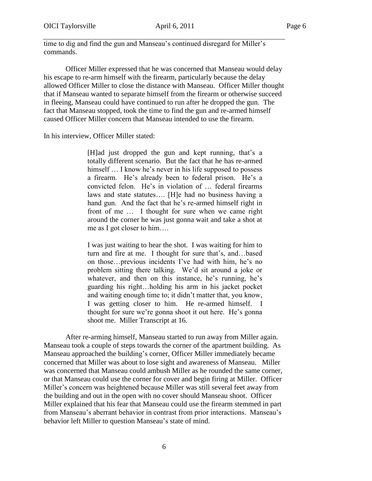time to dig and find the gun and Manseau's continued disregard for Miller's commands.

Officer Miller expressed that he was concerned that Manseau would delay his escape to re-arm himself with the firearm, particularly because the delay allowed Officer Miller to close the distance with Manseau. Officer Miller thought that if Manseau wanted to separate himself from the firearm or otherwise succeed in fleeing, Manseau could have continued to run after he dropped the gun. The fact that Manseau stopped, took the time to find the gun and re-armed himself caused Officer Miller concern that Manseau intended to use the firearm.

In his interview, Officer Miller stated:

[H]ad just dropped the gun and kept running, that's a totally different scenario. But the fact that he has re-armed himself ... I know he's never in his life supposed to possess a firearm. He's already been to federal prison. He's a convicted felon. He's in violation of … federal firearms laws and state statutes…. [H]e had no business having a hand gun. And the fact that he's re-armed himself right in front of me … I thought for sure when we came right around the corner he was just gonna wait and take a shot at me as I got closer to him….

I was just waiting to hear the shot. I was waiting for him to turn and fire at me. I thought for sure that's, and…based on those…previous incidents I've had with him, he's no problem sitting there talking. We'd sit around a joke or whatever, and then on this instance, he's running, he's guarding his right…holding his arm in his jacket pocket and waiting enough time to; it didn't matter that, you know, I was getting closer to him. He re-armed himself. I thought for sure we're gonna shoot it out here. He's gonna shoot me. Miller Transcript at 16.

After re-arming himself, Manseau started to run away from Miller again. Manseau took a couple of steps towards the corner of the apartment building. As Manseau approached the building's corner, Officer Miller immediately became concerned that Miller was about to lose sight and awareness of Manseau. Miller was concerned that Manseau could ambush Miller as he rounded the same corner, or that Manseau could use the corner for cover and begin firing at Miller. Officer Miller's concern was heightened because Miller was still several feet away from the building and out in the open with no cover should Manseau shoot. Officer Miller explained that his fear that Manseau could use the firearm stemmed in part from Manseau's aberrant behavior in contrast from prior interactions. Manseau's behavior left Miller to question Manseau's state of mind.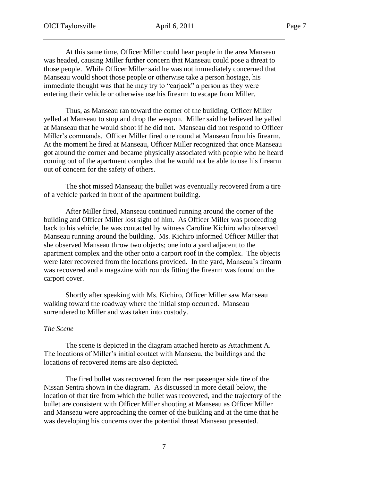At this same time, Officer Miller could hear people in the area Manseau was headed, causing Miller further concern that Manseau could pose a threat to those people. While Officer Miller said he was not immediately concerned that Manseau would shoot those people or otherwise take a person hostage, his immediate thought was that he may try to "carjack" a person as they were entering their vehicle or otherwise use his firearm to escape from Miller.

Thus, as Manseau ran toward the corner of the building, Officer Miller yelled at Manseau to stop and drop the weapon. Miller said he believed he yelled at Manseau that he would shoot if he did not. Manseau did not respond to Officer Miller's commands. Officer Miller fired one round at Manseau from his firearm. At the moment he fired at Manseau, Officer Miller recognized that once Manseau got around the corner and became physically associated with people who he heard coming out of the apartment complex that he would not be able to use his firearm out of concern for the safety of others.

The shot missed Manseau; the bullet was eventually recovered from a tire of a vehicle parked in front of the apartment building.

After Miller fired, Manseau continued running around the corner of the building and Officer Miller lost sight of him. As Officer Miller was proceeding back to his vehicle, he was contacted by witness Caroline Kichiro who observed Manseau running around the building. Ms. Kichiro informed Officer Miller that she observed Manseau throw two objects; one into a yard adjacent to the apartment complex and the other onto a carport roof in the complex. The objects were later recovered from the locations provided. In the yard, Manseau's firearm was recovered and a magazine with rounds fitting the firearm was found on the carport cover.

Shortly after speaking with Ms. Kichiro, Officer Miller saw Manseau walking toward the roadway where the initial stop occurred. Manseau surrendered to Miller and was taken into custody.

#### *The Scene*

The scene is depicted in the diagram attached hereto as Attachment A. The locations of Miller's initial contact with Manseau, the buildings and the locations of recovered items are also depicted.

The fired bullet was recovered from the rear passenger side tire of the Nissan Sentra shown in the diagram. As discussed in more detail below, the location of that tire from which the bullet was recovered, and the trajectory of the bullet are consistent with Officer Miller shooting at Manseau as Officer Miller and Manseau were approaching the corner of the building and at the time that he was developing his concerns over the potential threat Manseau presented.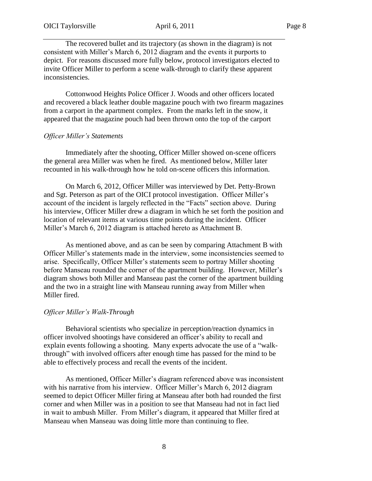The recovered bullet and its trajectory (as shown in the diagram) is not consistent with Miller's March 6, 2012 diagram and the events it purports to depict. For reasons discussed more fully below, protocol investigators elected to invite Officer Miller to perform a scene walk-through to clarify these apparent inconsistencies.

Cottonwood Heights Police Officer J. Woods and other officers located and recovered a black leather double magazine pouch with two firearm magazines from a carport in the apartment complex. From the marks left in the snow, it appeared that the magazine pouch had been thrown onto the top of the carport

#### *Officer Miller's Statements*

Immediately after the shooting, Officer Miller showed on-scene officers the general area Miller was when he fired. As mentioned below, Miller later recounted in his walk-through how he told on-scene officers this information.

On March 6, 2012, Officer Miller was interviewed by Det. Petty-Brown and Sgt. Peterson as part of the OICI protocol investigation. Officer Miller's account of the incident is largely reflected in the "Facts" section above. During his interview, Officer Miller drew a diagram in which he set forth the position and location of relevant items at various time points during the incident. Officer Miller's March 6, 2012 diagram is attached hereto as Attachment B.

As mentioned above, and as can be seen by comparing Attachment B with Officer Miller's statements made in the interview, some inconsistencies seemed to arise. Specifically, Officer Miller's statements seem to portray Miller shooting before Manseau rounded the corner of the apartment building. However, Miller's diagram shows both Miller and Manseau past the corner of the apartment building and the two in a straight line with Manseau running away from Miller when Miller fired.

#### *Officer Miller's Walk-Through*

Behavioral scientists who specialize in perception/reaction dynamics in officer involved shootings have considered an officer's ability to recall and explain events following a shooting. Many experts advocate the use of a "walkthrough" with involved officers after enough time has passed for the mind to be able to effectively process and recall the events of the incident.

As mentioned, Officer Miller's diagram referenced above was inconsistent with his narrative from his interview. Officer Miller's March 6, 2012 diagram seemed to depict Officer Miller firing at Manseau after both had rounded the first corner and when Miller was in a position to see that Manseau had not in fact lied in wait to ambush Miller. From Miller's diagram, it appeared that Miller fired at Manseau when Manseau was doing little more than continuing to flee.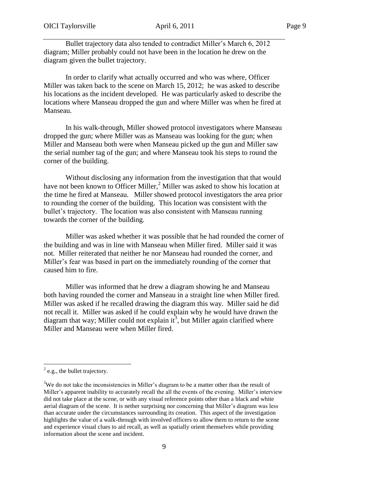Bullet trajectory data also tended to contradict Miller's March 6, 2012 diagram; Miller probably could not have been in the location he drew on the diagram given the bullet trajectory.

In order to clarify what actually occurred and who was where, Officer Miller was taken back to the scene on March 15, 2012; he was asked to describe his locations as the incident developed. He was particularly asked to describe the locations where Manseau dropped the gun and where Miller was when he fired at Manseau.

In his walk-through, Miller showed protocol investigators where Manseau dropped the gun; where Miller was as Manseau was looking for the gun; when Miller and Manseau both were when Manseau picked up the gun and Miller saw the serial number tag of the gun; and where Manseau took his steps to round the corner of the building.

Without disclosing any information from the investigation that that would have not been known to Officer Miller,<sup>2</sup> Miller was asked to show his location at the time he fired at Manseau. Miller showed protocol investigators the area prior to rounding the corner of the building. This location was consistent with the bullet's trajectory. The location was also consistent with Manseau running towards the corner of the building.

Miller was asked whether it was possible that he had rounded the corner of the building and was in line with Manseau when Miller fired. Miller said it was not. Miller reiterated that neither he nor Manseau had rounded the corner, and Miller's fear was based in part on the immediately rounding of the corner that caused him to fire.

Miller was informed that he drew a diagram showing he and Manseau both having rounded the corner and Manseau in a straight line when Miller fired. Miller was asked if he recalled drawing the diagram this way. Miller said he did not recall it. Miller was asked if he could explain why he would have drawn the diagram that way; Miller could not explain it<sup>3</sup>, but Miller again clarified where Miller and Manseau were when Miller fired.

 $\overline{a}$ 

 $^{2}$  e.g., the bullet trajectory.

 $3W$ e do not take the inconsistencies in Miller's diagram to be a matter other than the result of Miller's apparent inability to accurately recall the all the events of the evening. Miller's interview did not take place at the scene, or with any visual reference points other than a black and white aerial diagram of the scene. It is nether surprising nor concerning that Miller's diagram was less than accurate under the circumstances surrounding its creation. This aspect of the investigation highlights the value of a walk-through with involved officers to allow them to return to the scene and experience visual clues to aid recall, as well as spatially orient themselves while providing information about the scene and incident.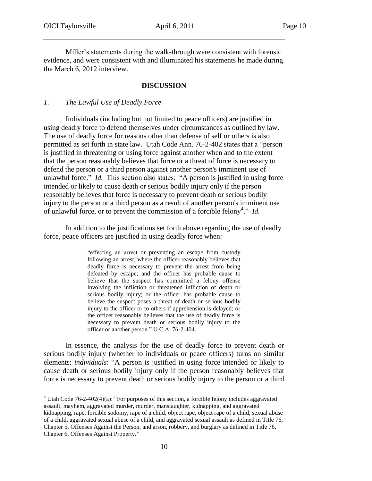$\overline{a}$ 

Miller's statements during the walk-through were consistent with forensic evidence, and were consistent with and illuminated his statements he made during the March 6, 2012 interview.

# **DISCUSSION**

# *1. The Lawful Use of Deadly Force*

Individuals (including but not limited to peace officers) are justified in using deadly force to defend themselves under circumstances as outlined by law. The use of deadly force for reasons other than defense of self or others is also permitted as set forth in state law. Utah Code Ann. 76-2-402 states that a "person is justified in threatening or using force against another when and to the extent that the person reasonably believes that force or a threat of force is necessary to defend the person or a third person against another person's imminent use of unlawful force." *Id.* This section also states: "A person is justified in using force intended or likely to cause death or serious bodily injury only if the person reasonably believes that force is necessary to prevent death or serious bodily injury to the person or a third person as a result of another person's imminent use of unlawful force, or to prevent the commission of a forcible felony<sup>4</sup> ." *Id.*

In addition to the justifications set forth above regarding the use of deadly force, peace officers are justified in using deadly force when:

> "effecting an arrest or preventing an escape from custody following an arrest, where the officer reasonably believes that deadly force is necessary to prevent the arrest from being defeated by escape; and the officer has probable cause to believe that the suspect has committed a felony offense involving the infliction or threatened infliction of death or serious bodily injury; or the officer has probable cause to believe the suspect poses a threat of death or serious bodily injury to the officer or to others if apprehension is delayed; or the officer reasonably believes that the use of deadly force is necessary to prevent death or serious bodily injury to the officer or another person." U.C.A. 76-2-404.

In essence, the analysis for the use of deadly force to prevent death or serious bodily injury (whether to individuals or peace officers) turns on similar elements: *individuals*: "A person is justified in using force intended or likely to cause death or serious bodily injury only if the person reasonably believes that force is necessary to prevent death or serious bodily injury to the person or a third

<sup>4</sup> Utah Code 76-2-402(4)(a): "For purposes of this section, a forcible felony includes aggravated assault, mayhem, aggravated murder, murder, manslaughter, kidnapping, and aggravated kidnapping, rape, forcible sodomy, rape of a child, object rape, object rape of a child, sexual abuse of a child, aggravated sexual abuse of a child, and aggravated sexual assault as defined in Title 76, Chapter 5, Offenses Against the Person, and arson, robbery, and burglary as defined in Title 76, Chapter 6, Offenses Against Property."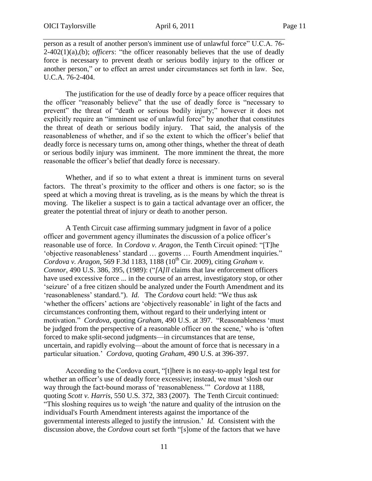person as a result of another person's imminent use of unlawful force" U.C.A. 76- 2-402(1)(a),(b); *officers*: "the officer reasonably believes that the use of deadly force is necessary to prevent death or serious bodily injury to the officer or another person," or to effect an arrest under circumstances set forth in law. See, U.C.A. 76-2-404.

The justification for the use of deadly force by a peace officer requires that the officer "reasonably believe" that the use of deadly force is "necessary to prevent" the threat of "death or serious bodily injury;" however it does not explicitly require an "imminent use of unlawful force" by another that constitutes the threat of death or serious bodily injury. That said, the analysis of the reasonableness of whether, and if so the extent to which the officer's belief that deadly force is necessary turns on, among other things, whether the threat of death or serious bodily injury was imminent. The more imminent the threat, the more reasonable the officer's belief that deadly force is necessary.

Whether, and if so to what extent a threat is imminent turns on several factors. The threat's proximity to the officer and others is one factor; so is the speed at which a moving threat is traveling, as is the means by which the threat is moving. The likelier a suspect is to gain a tactical advantage over an officer, the greater the potential threat of injury or death to another person.

A Tenth Circuit case affirming summary judgment in favor of a police officer and government agency illuminates the discussion of a police officer's reasonable use of force. In *Cordova v. Aragon*, the Tenth Circuit opined: "[T]he 'objective reasonableness' standard … governs … Fourth Amendment inquiries." *Cordova v. Aragon,* 569 F.3d 1183, 1188 (10<sup>th</sup> Cir. 2009), citing *Graham v. Connor,* 490 U.S. 386, 395, (1989): ("*[A]ll* claims that law enforcement officers have used excessive force ... in the course of an arrest, investigatory stop, or other 'seizure' of a free citizen should be analyzed under the Fourth Amendment and its 'reasonableness' standard."). *Id.* The *Cordova* court held: "We thus ask 'whether the officers' actions are 'objectively reasonable' in light of the facts and circumstances confronting them, without regard to their underlying intent or motivation." *Cordova*, quoting *Graham*, 490 U.S. at 397. "Reasonableness 'must be judged from the perspective of a reasonable officer on the scene,' who is 'often forced to make split-second judgments—in circumstances that are tense, uncertain, and rapidly evolving—about the amount of force that is necessary in a particular situation.' *Cordova*, quoting *Graham*, 490 U.S. at 396-397.

According to the Cordova court, "[t]here is no easy-to-apply legal test for whether an officer's use of deadly force excessive; instead, we must 'slosh our way through the fact-bound morass of 'reasonableness.'" *Cordova* at 1188, quoting *Scott v. Harris,* 550 U.S. 372, 383 (2007). The Tenth Circuit continued: "This sloshing requires us to weigh 'the nature and quality of the intrusion on the individual's Fourth Amendment interests against the importance of the governmental interests alleged to justify the intrusion.' *Id.* Consistent with the discussion above, the *Cordova* court set forth "[s]ome of the factors that we have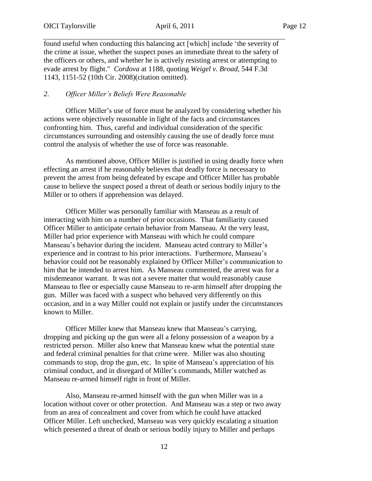found useful when conducting this balancing act [which] include 'the severity of the crime at issue, whether the suspect poses an immediate threat to the safety of the officers or others, and whether he is actively resisting arrest or attempting to evade arrest by flight." *Cordova* at 1188, quoting *Weigel v. Broad,* 544 F.3d 1143, 1151-52 (10th Cir. 2008)(citation omitted).

## *2. Officer Miller's Beliefs Were Reasonable*

Officer Miller's use of force must be analyzed by considering whether his actions were objectively reasonable in light of the facts and circumstances confronting him. Thus, careful and individual consideration of the specific circumstances surrounding and ostensibly causing the use of deadly force must control the analysis of whether the use of force was reasonable.

As mentioned above, Officer Miller is justified in using deadly force when effecting an arrest if he reasonably believes that deadly force is necessary to prevent the arrest from being defeated by escape and Officer Miller has probable cause to believe the suspect posed a threat of death or serious bodily injury to the Miller or to others if apprehension was delayed.

Officer Miller was personally familiar with Manseau as a result of interacting with him on a number of prior occasions. That familiarity caused Officer Miller to anticipate certain behavior from Manseau. At the very least, Miller had prior experience with Manseau with which he could compare Manseau's behavior during the incident. Manseau acted contrary to Miller's experience and in contrast to his prior interactions. Furthermore, Manseau's behavior could not be reasonably explained by Officer Miller's communication to him that he intended to arrest him. As Manseau commented, the arrest was for a misdemeanor warrant. It was not a severe matter that would reasonably cause Manseau to flee or especially cause Manseau to re-arm himself after dropping the gun. Miller was faced with a suspect who behaved very differently on this occasion, and in a way Miller could not explain or justify under the circumstances known to Miller.

Officer Miller knew that Manseau knew that Manseau's carrying, dropping and picking up the gun were all a felony possession of a weapon by a restricted person. Miller also knew that Manseau knew what the potential state and federal criminal penalties for that crime were. Miller was also shouting commands to stop, drop the gun, etc. In spite of Manseau's appreciation of his criminal conduct, and in disregard of Miller's commands, Miller watched as Manseau re-armed himself right in front of Miller.

Also, Manseau re-armed himself with the gun when Miller was in a location without cover or other protection. And Manseau was a step or two away from an area of concealment and cover from which he could have attacked Officer Miller. Left unchecked, Manseau was very quickly escalating a situation which presented a threat of death or serious bodily injury to Miller and perhaps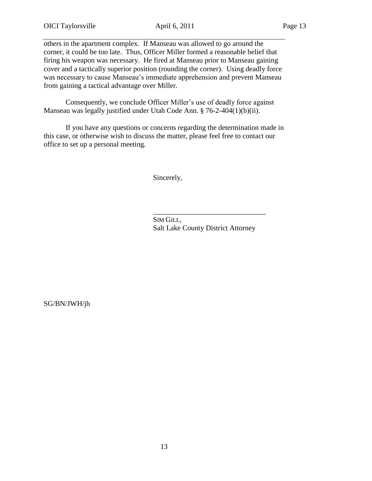others in the apartment complex. If Manseau was allowed to go around the corner, it could be too late. Thus, Officer Miller formed a reasonable belief that firing his weapon was necessary. He fired at Manseau prior to Manseau gaining cover and a tactically superior position (rounding the corner). Using deadly force was necessary to cause Manseau's immediate apprehension and prevent Manseau from gaining a tactical advantage over Miller.

 Consequently, we conclude Officer Miller's use of deadly force against Manseau was legally justified under Utah Code Ann. § 76-2-404(1)(b)(ii).

If you have any questions or concerns regarding the determination made in this case, or otherwise wish to discuss the matter, please feel free to contact our office to set up a personal meeting.

Sincerely,

SIM GILL, Salt Lake County District Attorney

\_\_\_\_\_\_\_\_\_\_\_\_\_\_\_\_\_\_\_\_\_\_\_\_\_\_\_\_\_\_\_

SG/BN/JWH/jh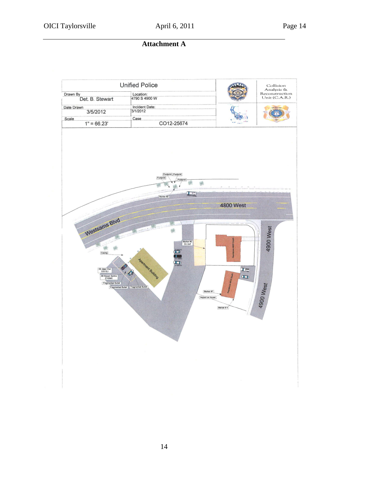**Attachment A**